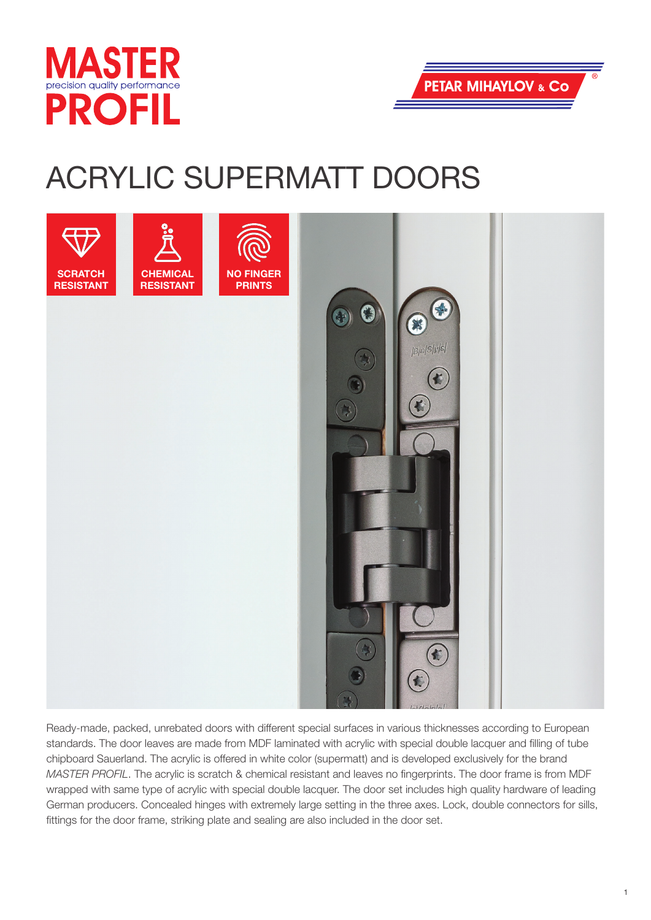



## ACRYLIC SUPERMATT DOORS



Ready-made, packed, unrebated doors with different special surfaces in various thicknesses according to European standards. The door leaves are made from MDF laminated with acrylic with special double lacquer and filling of tube chipboard Sauerland. The acrylic is offered in white color (supermatt) and is developed exclusively for the brand *MASTER PROFIL*. The acrylic is scratch & chemical resistant and leaves no fingerprints. The door frame is from MDF wrapped with same type of acrylic with special double lacquer. The door set includes high quality hardware of leading German producers. Concealed hinges with extremely large setting in the three axes. Lock, double connectors for sills, fittings for the door frame, striking plate and sealing are also included in the door set.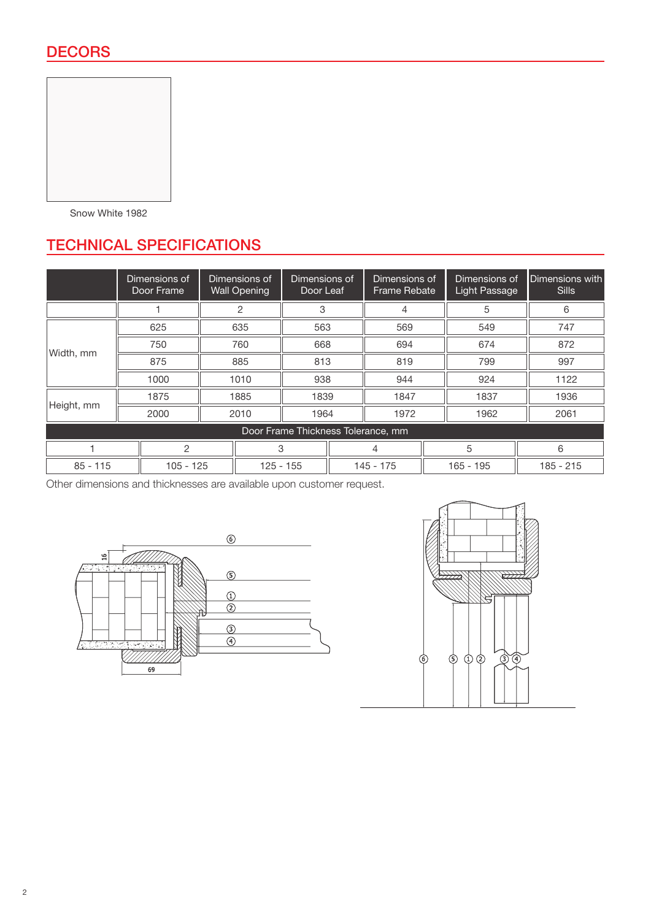

Snow White 1982

## TECHNICAL SPECIFICATIONS

|                                    | Dimensions of<br>Door Frame | Dimensions of<br><b>Wall Opening</b> |                | Dimensions of<br>Door Leaf |  | Dimensions of<br><b>Frame Rebate</b> |  | Dimensions of<br>Light Passage | Dimensions with<br><b>Sills</b> |
|------------------------------------|-----------------------------|--------------------------------------|----------------|----------------------------|--|--------------------------------------|--|--------------------------------|---------------------------------|
|                                    |                             |                                      | $\overline{2}$ | 3                          |  | 4                                    |  | 5                              | 6                               |
| Width, mm                          | 625                         | 635                                  |                | 563                        |  | 569                                  |  | 549                            | 747                             |
|                                    | 750                         | 760                                  |                | 668                        |  | 694                                  |  | 674                            | 872                             |
|                                    | 875                         | 885                                  |                | 813                        |  | 819                                  |  | 799                            | 997                             |
|                                    | 1000                        | 1010                                 |                | 938                        |  | 944                                  |  | 924                            | 1122                            |
| Height, mm                         | 1875                        |                                      | 1885           | 1839                       |  | 1847                                 |  | 1837                           | 1936                            |
|                                    | 2000                        | 2010                                 |                | 1964                       |  | 1972                                 |  | 1962                           | 2061                            |
| Door Frame Thickness Tolerance, mm |                             |                                      |                |                            |  |                                      |  |                                |                                 |
| $\overline{c}$                     |                             | 3                                    |                |                            |  | 4                                    |  | 5                              | 6                               |
| $85 - 115$                         |                             | $105 - 125$                          |                | $125 - 155$                |  | $145 - 175$                          |  | $165 - 195$                    | $185 - 215$                     |

Other dimensions and thicknesses are available upon customer request.